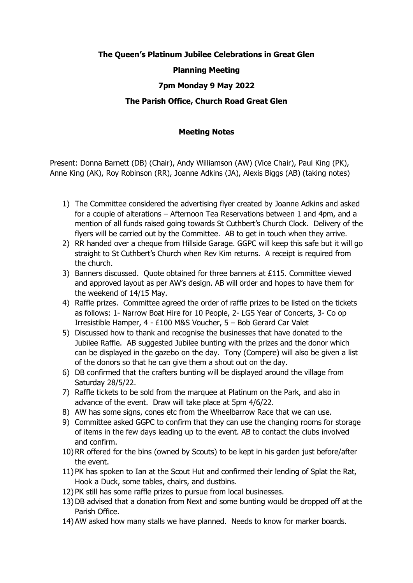# **The Queen's Platinum Jubilee Celebrations in Great Glen**

## **Planning Meeting**

## **7pm Monday 9 May 2022**

### **The Parish Office, Church Road Great Glen**

### **Meeting Notes**

Present: Donna Barnett (DB) (Chair), Andy Williamson (AW) (Vice Chair), Paul King (PK), Anne King (AK), Roy Robinson (RR), Joanne Adkins (JA), Alexis Biggs (AB) (taking notes)

- 1) The Committee considered the advertising flyer created by Joanne Adkins and asked for a couple of alterations – Afternoon Tea Reservations between 1 and 4pm, and a mention of all funds raised going towards St Cuthbert's Church Clock. Delivery of the flyers will be carried out by the Committee. AB to get in touch when they arrive.
- 2) RR handed over a cheque from Hillside Garage. GGPC will keep this safe but it will go straight to St Cuthbert's Church when Rev Kim returns. A receipt is required from the church.
- 3) Banners discussed. Quote obtained for three banners at £115. Committee viewed and approved layout as per AW's design. AB will order and hopes to have them for the weekend of 14/15 May.
- 4) Raffle prizes. Committee agreed the order of raffle prizes to be listed on the tickets as follows: 1- Narrow Boat Hire for 10 People, 2- LGS Year of Concerts, 3- Co op Irresistible Hamper, 4 - £100 M&S Voucher, 5 – Bob Gerard Car Valet
- 5) Discussed how to thank and recognise the businesses that have donated to the Jubilee Raffle. AB suggested Jubilee bunting with the prizes and the donor which can be displayed in the gazebo on the day. Tony (Compere) will also be given a list of the donors so that he can give them a shout out on the day.
- 6) DB confirmed that the crafters bunting will be displayed around the village from Saturday 28/5/22.
- 7) Raffle tickets to be sold from the marquee at Platinum on the Park, and also in advance of the event. Draw will take place at 5pm 4/6/22.
- 8) AW has some signs, cones etc from the Wheelbarrow Race that we can use.
- 9) Committee asked GGPC to confirm that they can use the changing rooms for storage of items in the few days leading up to the event. AB to contact the clubs involved and confirm.
- 10) RR offered for the bins (owned by Scouts) to be kept in his garden just before/after the event.
- 11) PK has spoken to Ian at the Scout Hut and confirmed their lending of Splat the Rat, Hook a Duck, some tables, chairs, and dustbins.
- 12) PK still has some raffle prizes to pursue from local businesses.
- 13)DB advised that a donation from Next and some bunting would be dropped off at the Parish Office.
- 14) AW asked how many stalls we have planned. Needs to know for marker boards.